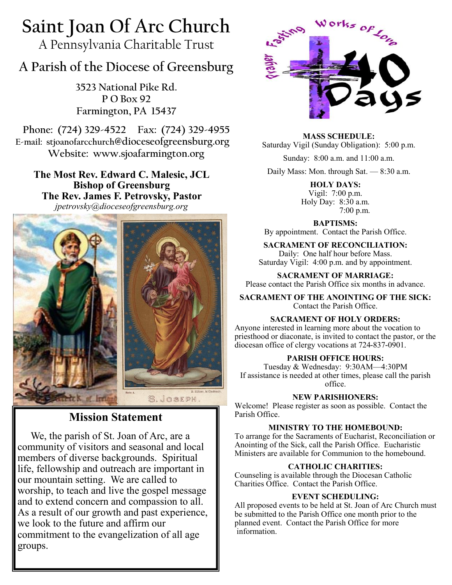# **Saint Joan Of Arc Church**

A Pennsylvania Charitable Trust

## **A Parish of the Diocese of Greensburg**

**3523 National Pike Rd. P O Box 92 Farmington, PA 15437**

**Phone: (724) 329-4522 Fax: (724) 329-4955 E-mail: stjoanofarcchurch@dioceseofgreensburg.org Website: www.sjoafarmington.org**

**The Most Rev. Edward C. Malesic, JCL Bishop of Greensburg The Rev. James F. Petrovsky, Pastor** *jpetrovsky@dioceseofgreensburg.org*



## **Mission Statement**

We, the parish of St. Joan of Arc, are a community of visitors and seasonal and local members of diverse backgrounds. Spiritual life, fellowship and outreach are important in our mountain setting. We are called to worship, to teach and live the gospel message and to extend concern and compassion to all. As a result of our growth and past experience, we look to the future and affirm our commitment to the evangelization of all age groups.



**MASS SCHEDULE:** Saturday Vigil (Sunday Obligation): 5:00 p.m.

Sunday: 8:00 a.m. and 11:00 a.m.

Daily Mass: Mon. through Sat. — 8:30 a.m.

**HOLY DAYS:** Vigil: 7:00 p.m. Holy Day: 8:30 a.m. 7:00 p.m.

**BAPTISMS:**  By appointment. Contact the Parish Office.

**SACRAMENT OF RECONCILIATION:** Daily: One half hour before Mass. Saturday Vigil: 4:00 p.m. and by appointment.

**SACRAMENT OF MARRIAGE:** Please contact the Parish Office six months in advance.

**SACRAMENT OF THE ANOINTING OF THE SICK:** Contact the Parish Office.

#### **SACRAMENT OF HOLY ORDERS:**

Anyone interested in learning more about the vocation to priesthood or diaconate, is invited to contact the pastor, or the diocesan office of clergy vocations at 724-837-0901.

#### **PARISH OFFICE HOURS:**

Tuesday & Wednesday: 9:30AM—4:30PM If assistance is needed at other times, please call the parish office.

#### **NEW PARISHIONERS:**

Welcome! Please register as soon as possible. Contact the Parish Office.

#### **MINISTRY TO THE HOMEBOUND:**

To arrange for the Sacraments of Eucharist, Reconciliation or Anointing of the Sick, call the Parish Office. Eucharistic Ministers are available for Communion to the homebound.

#### **CATHOLIC CHARITIES:**

Counseling is available through the Diocesan Catholic Charities Office. Contact the Parish Office.

#### **EVENT SCHEDULING:**

All proposed events to be held at St. Joan of Arc Church must be submitted to the Parish Office one month prior to the planned event. Contact the Parish Office for more information.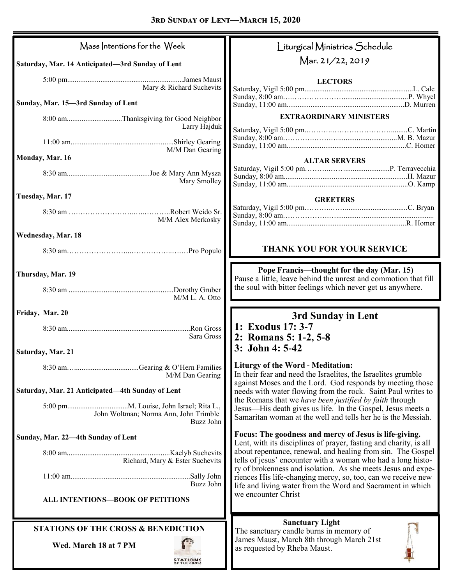| Mass Intentions for the Week                          | Liturgical Ministries Schedule                                                                                                                                                                   |  |
|-------------------------------------------------------|--------------------------------------------------------------------------------------------------------------------------------------------------------------------------------------------------|--|
| Saturday, Mar. 14 Anticipated-3rd Sunday of Lent      | Mar. 21/22, 2019                                                                                                                                                                                 |  |
| Mary & Richard Suchevits                              | <b>LECTORS</b>                                                                                                                                                                                   |  |
| Sunday, Mar. 15-3rd Sunday of Lent                    |                                                                                                                                                                                                  |  |
| 8:00 amThanksgiving for Good Neighbor<br>Larry Hajduk | <b>EXTRAORDINARY MINISTERS</b>                                                                                                                                                                   |  |
| M/M Dan Gearing                                       |                                                                                                                                                                                                  |  |
| Monday, Mar. 16<br>Mary Smolley                       | <b>ALTAR SERVERS</b>                                                                                                                                                                             |  |
| Tuesday, Mar. 17                                      | <b>GREETERS</b>                                                                                                                                                                                  |  |
| M/M Alex Merkosky                                     |                                                                                                                                                                                                  |  |
| Wednesday, Mar. 18                                    |                                                                                                                                                                                                  |  |
|                                                       | THANK YOU FOR YOUR SERVICE                                                                                                                                                                       |  |
| Thursday, Mar. 19                                     | Pope Francis—thought for the day (Mar. 15)<br>Pause a little, leave behind the unrest and commotion that fill                                                                                    |  |
| M/M L. A. Otto                                        | the soul with bitter feelings which never get us anywhere.                                                                                                                                       |  |
|                                                       |                                                                                                                                                                                                  |  |
| Friday, Mar. 20                                       | 3rd Sunday in Lent                                                                                                                                                                               |  |
| Sara Gross                                            | 1: Exodus 17: 3-7<br>2: Romans 5: 1-2, 5-8                                                                                                                                                       |  |
| Saturday, Mar. 21                                     | 3: John 4: 5-42                                                                                                                                                                                  |  |
| M/M Dan Gearing                                       | <b>Liturgy of the Word - Meditation:</b><br>In their fear and need the Israelites, the Israelites grumble                                                                                        |  |
| Saturday, Mar. 21 Anticipated—4th Sunday of Lent      | against Moses and the Lord. God responds by meeting those<br>needs with water flowing from the rock. Saint Paul writes to                                                                        |  |
| John Woltman; Norma Ann, John Trimble<br>Buzz John    | the Romans that we have been justified by faith through<br>Jesus—His death gives us life. In the Gospel, Jesus meets a<br>Samaritan woman at the well and tells her he is the Messiah.           |  |
| Sunday, Mar. 22-4th Sunday of Lent                    | Focus: The goodness and mercy of Jesus is life-giving.                                                                                                                                           |  |
| Richard, Mary & Ester Suchevits                       | Lent, with its disciplines of prayer, fasting and charity, is all<br>about repentance, renewal, and healing from sin. The Gospel<br>tells of jesus' encounter with a woman who had a long histo- |  |
| Buzz John                                             | ry of brokenness and isolation. As she meets Jesus and expe-<br>riences His life-changing mercy, so, too, can we receive new                                                                     |  |
| ALL INTENTIONS-BOOK OF PETITIONS                      | life and living water from the Word and Sacrament in which<br>we encounter Christ                                                                                                                |  |
| <b>STATIONS OF THE CROSS &amp; BENEDICTION</b>        | <b>Sanctuary Light</b><br>The sanctuary candle burns in memory of                                                                                                                                |  |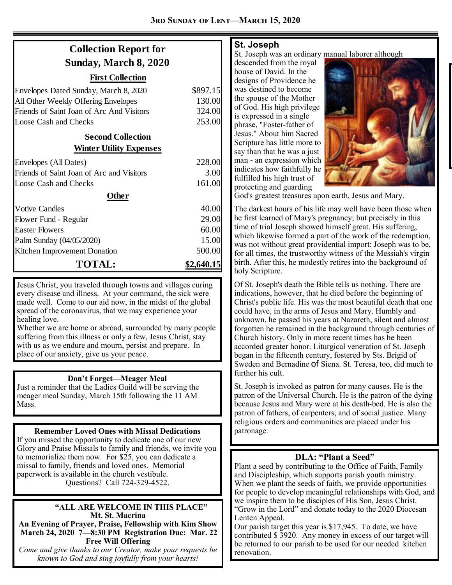## **Collection Report for Sunday, March 8, 2020**

#### **First Collection**

| Envelopes Dated Sunday, March 8, 2020     | \$897.15   |  |
|-------------------------------------------|------------|--|
| All Other Weekly Offering Envelopes       | 130.00     |  |
| Friends of Saint Joan of Arc And Visitors | 324.00     |  |
| Loose Cash and Checks                     | 253.00     |  |
| <b>Second Collection</b>                  |            |  |
| <b>Winter Utility Expenses</b>            |            |  |
| Envelopes (All Dates)                     | 228.00     |  |
| Friends of Saint Joan of Arc and Visitors | 3.00       |  |
| Loose Cash and Checks                     | 161.00     |  |
| Other                                     |            |  |
| <b>Votive Candles</b>                     | 40.00      |  |
| Flower Fund - Regular                     | 29.00      |  |
| <b>Easter Flowers</b>                     | 60.00      |  |
| Palm Sunday (04/05/2020)                  | 15.00      |  |
| Kitchen Improvement Donation              | 500.00     |  |
| <b>TOTAL:</b>                             | \$2.640.15 |  |

Jesus Christ, you traveled through towns and villages curing every disease and illness. At your command, the sick were made well. Come to our aid now, in the midst of the global spread of the coronavirus, that we may experience your healing love.

Whether we are home or abroad, surrounded by many people suffering from this illness or only a few, Jesus Christ, stay with us as we endure and mourn, persist and prepare. In place of our anxiety, give us your peace.

#### **Don't Forget—Meager Meal**

Just a reminder that the Ladies Guild will be serving the meager meal Sunday, March 15th following the 11 AM Mass.

#### **Remember Loved Ones with Missal Dedications**

If you missed the opportunity to dedicate one of our new Glory and Praise Missals to family and friends, we invite you to memorialize them now. For \$25, you can dedicate a missal to family, friends and loved ones. Memorial paperwork is available in the church vestibule. Questions? Call 724-329-4522.

#### **"ALL ARE WELCOME IN THIS PLACE" Mt. St. Macrina**

**An Evening of Prayer, Praise, Fellowship with Kim Show March 24, 2020 7—8:30 PM Registration Due: Mar. 22 Free Will Offering**

*Come and give thanks to our Creator, make your requests be known to God and sing joyfully from your hearts!*

#### **St. Joseph**

St. Joseph was an ordinary manual laborer although

descended from the royal house of David. In the designs of Providence he was destined to become the spouse of the Mother of God. His high privilege is expressed in a single phrase, "Foster-father of Jesus." About him Sacred Scripture has little more to say than that he was a just man - an expression which indicates how faithfully he fulfilled his high trust of protecting and guarding



God's greatest treasures upon earth, Jesus and Mary.

The darkest hours of his life may well have been those when he first learned of Mary's pregnancy; but precisely in this time of trial Joseph showed himself great. His suffering, which likewise formed a part of the work of the redemption, was not without great providential import: Joseph was to be, for all times, the trustworthy witness of the Messiah's virgin birth. After this, he modestly retires into the background of holy Scripture.

Of St. Joseph's death the Bible tells us nothing. There are indications, however, that he died before the beginning of Christ's public life. His was the most beautiful death that one could have, in the arms of Jesus and Mary. Humbly and unknown, he passed his years at Nazareth, silent and almost forgotten he remained in the background through centuries of Church history. Only in more recent times has he been accorded greater honor. Liturgical veneration of St. Joseph began in the fifteenth century, fostered by Sts. Brigid of Sweden and Bernadine of Siena. St. Teresa, too, did much to further his cult.

St. Joseph is invoked as patron for many causes. He is the patron of the Universal Church. He is the patron of the dying because Jesus and Mary were at his death-bed. He is also the patron of fathers, of carpenters, and of social justice. Many religious orders and communities are placed under his patronage.

#### **DLA: "Plant a Seed"**

Plant a seed by contributing to the Office of Faith, Family and Discipleship, which supports parish youth ministry. When we plant the seeds of faith, we provide opportunities for people to develop meaningful relationships with God, and we inspire them to be disciples of His Son, Jesus Christ. "Grow in the Lord" and donate today to the 2020 Diocesan Lenten Appeal.

Our parish target this year is \$17,945. To date, we have contributed \$ 3920. Any money in excess of our target will be returned to our parish to be used for our needed kitchen renovation.